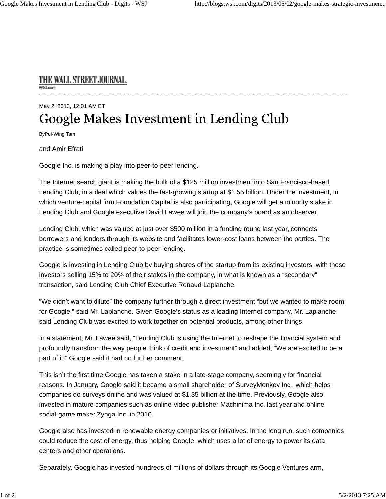## THE WALL STREET JOURNAL.

## May 2, 2013, 12:01 AM ET Google Makes Investment in Lending Club

ByPui-Wing Tam

and Amir Efrati

Google Inc. is making a play into peer-to-peer lending.

The Internet search giant is making the bulk of a \$125 million investment into San Francisco-based Lending Club, in a deal which values the fast-growing startup at \$1.55 billion. Under the investment, in which venture-capital firm Foundation Capital is also participating, Google will get a minority stake in Lending Club and Google executive David Lawee will join the company's board as an observer.

Lending Club, which was valued at just over \$500 million in a funding round last year, connects borrowers and lenders through its website and facilitates lower-cost loans between the parties. The practice is sometimes called peer-to-peer lending.

Google is investing in Lending Club by buying shares of the startup from its existing investors, with those investors selling 15% to 20% of their stakes in the company, in what is known as a "secondary" transaction, said Lending Club Chief Executive Renaud Laplanche.

"We didn't want to dilute" the company further through a direct investment "but we wanted to make room for Google," said Mr. Laplanche. Given Google's status as a leading Internet company, Mr. Laplanche said Lending Club was excited to work together on potential products, among other things.

In a statement, Mr. Lawee said, "Lending Club is using the Internet to reshape the financial system and profoundly transform the way people think of credit and investment" and added, "We are excited to be a part of it." Google said it had no further comment.

This isn't the first time Google has taken a stake in a late-stage company, seemingly for financial reasons. In January, Google said it became a small shareholder of SurveyMonkey Inc., which helps companies do surveys online and was valued at \$1.35 billion at the time. Previously, Google also invested in mature companies such as online-video publisher Machinima Inc. last year and online social-game maker Zynga Inc. in 2010.

Google also has invested in renewable energy companies or initiatives. In the long run, such companies could reduce the cost of energy, thus helping Google, which uses a lot of energy to power its data centers and other operations.

Separately, Google has invested hundreds of millions of dollars through its Google Ventures arm,